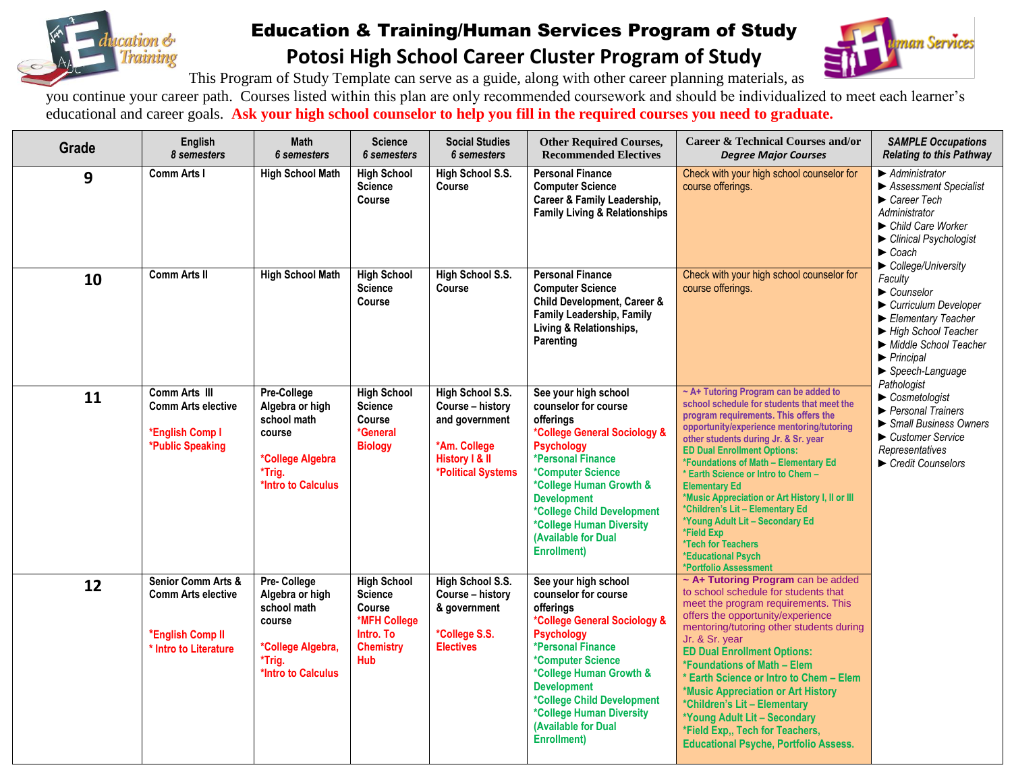

## Education & Training/Human Services Program of Study **Potosi High School Career Cluster Program of Study**



This Program of Study Template can serve as a guide, along with other career planning materials, as

you continue your career path. Courses listed within this plan are only recommended coursework and should be individualized to meet each learner's educational and career goals. **Ask your high school counselor to help you fill in the required courses you need to graduate.**

| Grade | English<br>8 semesters                                                                                  | <b>Math</b><br><b>6</b> semesters                                                                            | <b>Science</b><br><b>6</b> semesters                                                                          | <b>Social Studies</b><br><b>6</b> semesters                                                                    | <b>Other Required Courses,</b><br><b>Recommended Electives</b>                                                                                                                                                                                                                                                    | <b>Career &amp; Technical Courses and/or</b><br><b>Degree Major Courses</b>                                                                                                                                                                                                                                                                                                                                                                                                                                                                                               | <b>SAMPLE Occupations</b><br><b>Relating to this Pathway</b>                                                                                                                                                                                                                    |
|-------|---------------------------------------------------------------------------------------------------------|--------------------------------------------------------------------------------------------------------------|---------------------------------------------------------------------------------------------------------------|----------------------------------------------------------------------------------------------------------------|-------------------------------------------------------------------------------------------------------------------------------------------------------------------------------------------------------------------------------------------------------------------------------------------------------------------|---------------------------------------------------------------------------------------------------------------------------------------------------------------------------------------------------------------------------------------------------------------------------------------------------------------------------------------------------------------------------------------------------------------------------------------------------------------------------------------------------------------------------------------------------------------------------|---------------------------------------------------------------------------------------------------------------------------------------------------------------------------------------------------------------------------------------------------------------------------------|
| 9     | <b>Comm Arts I</b>                                                                                      | <b>High School Math</b>                                                                                      | <b>High School</b><br><b>Science</b><br>Course                                                                | High School S.S.<br>Course                                                                                     | <b>Personal Finance</b><br><b>Computer Science</b><br>Career & Family Leadership,<br><b>Family Living &amp; Relationships</b>                                                                                                                                                                                     | Check with your high school counselor for<br>course offerings.                                                                                                                                                                                                                                                                                                                                                                                                                                                                                                            | $\blacktriangleright$ Administrator<br>▶ Assessment Specialist<br>$\blacktriangleright$ Career Tech<br>Administrator<br>▶ Child Care Worker<br>Clinical Psychologist<br>$\blacktriangleright$ Coach                                                                             |
| 10    | <b>Comm Arts II</b>                                                                                     | <b>High School Math</b>                                                                                      | <b>High School</b><br><b>Science</b><br>Course                                                                | High School S.S.<br>Course                                                                                     | <b>Personal Finance</b><br><b>Computer Science</b><br>Child Development, Career &<br>Family Leadership, Family<br>Living & Relationships,<br>Parenting                                                                                                                                                            | Check with your high school counselor for<br>course offerings.                                                                                                                                                                                                                                                                                                                                                                                                                                                                                                            | $\blacktriangleright$ College/University<br>Faculty<br>$\blacktriangleright$ Counselor<br>Curriculum Developer<br>Elementary Teacher<br>High School Teacher<br>Middle School Teacher<br>$\blacktriangleright$ Principal<br>$\blacktriangleright$ Speech-Language<br>Pathologist |
| 11    | Comm Arts III<br><b>Comm Arts elective</b><br>*English Comp I<br>*Public Speaking                       | Pre-College<br>Algebra or high<br>school math<br>course<br>*College Algebra<br>*Trig.<br>*Intro to Calculus  | <b>High School</b><br><b>Science</b><br>Course<br>*General<br><b>Biology</b>                                  | High School S.S.<br>Course - history<br>and government<br>*Am. College<br>History I & II<br>*Political Systems | See your high school<br>counselor for course<br>offerings<br>*College General Sociology &<br><b>Psychology</b><br>*Personal Finance<br>*Computer Science<br>*College Human Growth &<br><b>Development</b><br>*College Child Development<br>*College Human Diversity<br>(Available for Dual<br><b>Enrollment</b> ) | ~ A+ Tutoring Program can be added to<br>school schedule for students that meet the<br>program requirements. This offers the<br>opportunity/experience mentoring/tutoring<br>other students during Jr. & Sr. year<br><b>ED Dual Enrollment Options:</b><br>*Foundations of Math - Elementary Ed<br>* Earth Science or Intro to Chem -<br><b>Elementary Ed</b><br>*Music Appreciation or Art History I, II or III<br>*Children's Lit - Elementary Ed<br>*Young Adult Lit - Secondary Ed<br>*Field Exp<br>*Tech for Teachers<br>*Educational Psych<br>*Portfolio Assessment | $\triangleright$ Cosmetologist<br>▶ Personal Trainers<br>Small Business Owners<br>Customer Service<br>Representatives<br>$\blacktriangleright$ Credit Counselors                                                                                                                |
| 12    | <b>Senior Comm Arts &amp;</b><br><b>Comm Arts elective</b><br>*English Comp II<br>* Intro to Literature | Pre-College<br>Algebra or high<br>school math<br>course<br>*College Algebra,<br>*Trig.<br>*Intro to Calculus | <b>High School</b><br><b>Science</b><br><b>Course</b><br>*MFH College<br>Intro. To<br><b>Chemistry</b><br>Hub | High School S.S.<br>Course - history<br>& government<br>*College S.S.<br><b>Electives</b>                      | See your high school<br>counselor for course<br>offerings<br>*College General Sociology &<br><b>Psychology</b><br>*Personal Finance<br>*Computer Science<br>*College Human Growth &<br><b>Development</b><br>*College Child Development<br>*College Human Diversity<br>(Available for Dual<br><b>Enrollment</b> ) | ~ A+ Tutoring Program can be added<br>to school schedule for students that<br>meet the program requirements. This<br>offers the opportunity/experience<br>mentoring/tutoring other students during<br>Jr. & Sr. year<br><b>ED Dual Enrollment Options:</b><br>*Foundations of Math - Elem<br>* Earth Science or Intro to Chem - Elem<br>*Music Appreciation or Art History<br>*Children's Lit - Elementary<br>*Young Adult Lit - Secondary<br>*Field Exp., Tech for Teachers,<br><b>Educational Psyche, Portfolio Assess.</b>                                             |                                                                                                                                                                                                                                                                                 |